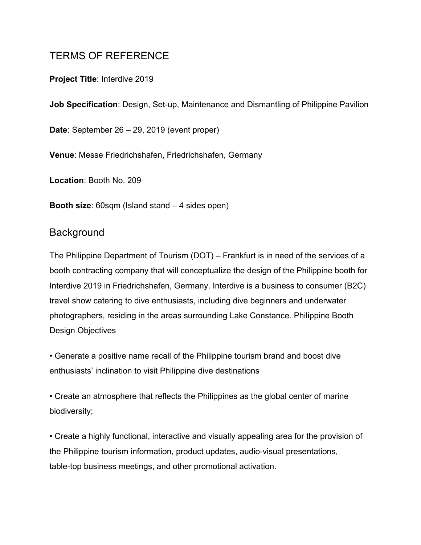# TERMS OF REFERENCE

#### **Project Title**: Interdive 2019

**Job Specification**: Design, Set-up, Maintenance and Dismantling of Philippine Pavilion

**Date**: September 26 – 29, 2019 (event proper)

**Venue**: Messe Friedrichshafen, Friedrichshafen, Germany

**Location**: Booth No. 209

**Booth size:** 60sqm (Island stand – 4 sides open)

### **Background**

The Philippine Department of Tourism (DOT) – Frankfurt is in need of the services of a booth contracting company that will conceptualize the design of the Philippine booth for Interdive 2019 in Friedrichshafen, Germany. Interdive is a business to consumer (B2C) travel show catering to dive enthusiasts, including dive beginners and underwater photographers, residing in the areas surrounding Lake Constance. Philippine Booth Design Objectives

• Generate a positive name recall of the Philippine tourism brand and boost dive enthusiasts' inclination to visit Philippine dive destinations

• Create an atmosphere that reflects the Philippines as the global center of marine biodiversity;

• Create a highly functional, interactive and visually appealing area for the provision of the Philippine tourism information, product updates, audio-visual presentations, table-top business meetings, and other promotional activation.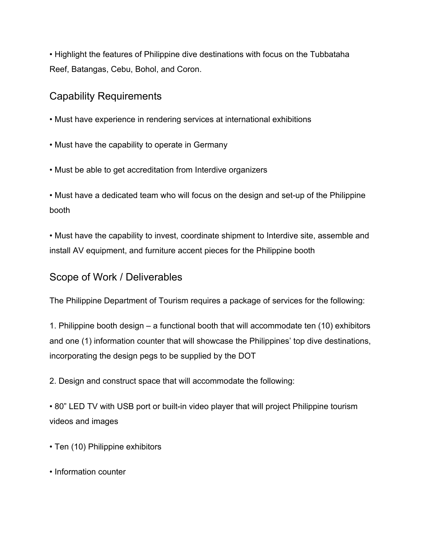• Highlight the features of Philippine dive destinations with focus on the Tubbataha Reef, Batangas, Cebu, Bohol, and Coron.

### Capability Requirements

- Must have experience in rendering services at international exhibitions
- Must have the capability to operate in Germany
- Must be able to get accreditation from Interdive organizers

• Must have a dedicated team who will focus on the design and set-up of the Philippine booth

• Must have the capability to invest, coordinate shipment to Interdive site, assemble and install AV equipment, and furniture accent pieces for the Philippine booth

### Scope of Work / Deliverables

The Philippine Department of Tourism requires a package of services for the following:

1. Philippine booth design – a functional booth that will accommodate ten (10) exhibitors and one (1) information counter that will showcase the Philippines' top dive destinations, incorporating the design pegs to be supplied by the DOT

2. Design and construct space that will accommodate the following:

• 80" LED TV with USB port or built-in video player that will project Philippine tourism videos and images

- Ten (10) Philippine exhibitors
- Information counter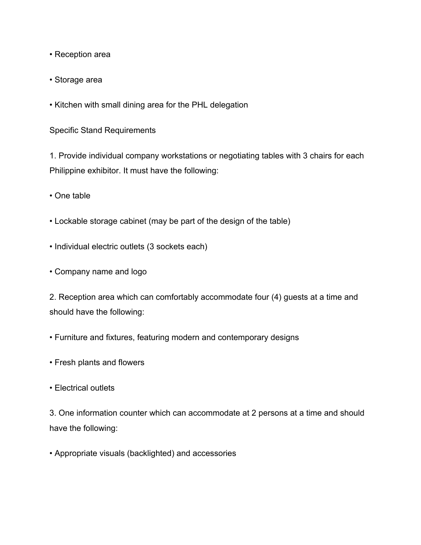- Reception area
- Storage area
- Kitchen with small dining area for the PHL delegation

Specific Stand Requirements

1. Provide individual company workstations or negotiating tables with 3 chairs for each Philippine exhibitor. It must have the following:

• One table

- Lockable storage cabinet (may be part of the design of the table)
- Individual electric outlets (3 sockets each)
- Company name and logo

2. Reception area which can comfortably accommodate four (4) guests at a time and should have the following:

- Furniture and fixtures, featuring modern and contemporary designs
- Fresh plants and flowers
- Electrical outlets

3. One information counter which can accommodate at 2 persons at a time and should have the following:

• Appropriate visuals (backlighted) and accessories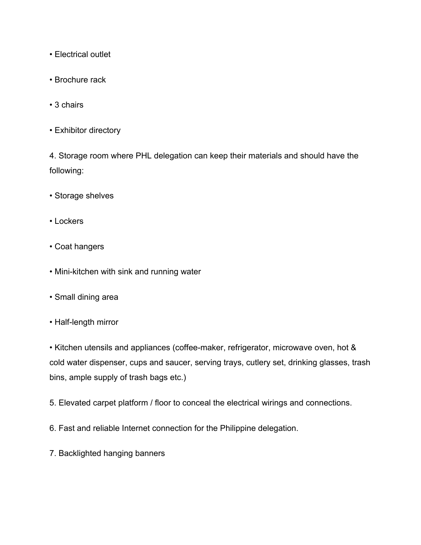- Electrical outlet
- Brochure rack
- 3 chairs
- Exhibitor directory

4. Storage room where PHL delegation can keep their materials and should have the following:

- Storage shelves
- Lockers
- Coat hangers
- Mini-kitchen with sink and running water
- Small dining area
- Half-length mirror

• Kitchen utensils and appliances (coffee-maker, refrigerator, microwave oven, hot & cold water dispenser, cups and saucer, serving trays, cutlery set, drinking glasses, trash bins, ample supply of trash bags etc.)

- 5. Elevated carpet platform / floor to conceal the electrical wirings and connections.
- 6. Fast and reliable Internet connection for the Philippine delegation.
- 7. Backlighted hanging banners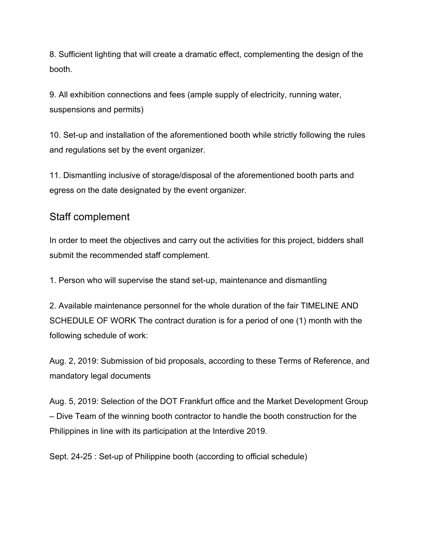8. Sufficient lighting that will create a dramatic effect, complementing the design of the booth.

9. All exhibition connections and fees (ample supply of electricity, running water, suspensions and permits)

10. Set-up and installation of the aforementioned booth while strictly following the rules and regulations set by the event organizer.

11. Dismantling inclusive of storage/disposal of the aforementioned booth parts and egress on the date designated by the event organizer.

### Staff complement

In order to meet the objectives and carry out the activities for this project, bidders shall submit the recommended staff complement.

1. Person who will supervise the stand set-up, maintenance and dismantling

2. Available maintenance personnel for the whole duration of the fair TIMELINE AND SCHEDULE OF WORK The contract duration is for a period of one (1) month with the following schedule of work:

Aug. 2, 2019: Submission of bid proposals, according to these Terms of Reference, and mandatory legal documents

Aug. 5, 2019: Selection of the DOT Frankfurt office and the Market Development Group – Dive Team of the winning booth contractor to handle the booth construction for the Philippines in line with its participation at the Interdive 2019.

Sept. 24-25 : Set-up of Philippine booth (according to official schedule)